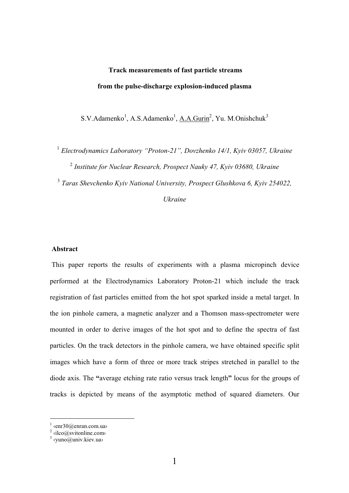# Track measurements of fast particle streams from the pulse-discharge explosion-induced plasma

S.V.Adamenko<sup>1</sup>, A.S.Adamenko<sup>1</sup>, <u>A.A.Gurin</u><sup>2</sup>, Yu. M.Onishchuk<sup>3</sup>

<sup>1</sup> Electrodynamics Laboratory "Proton-21", Dovzhenko 14/1, Kyiv 03057, Ukraine <sup>2</sup> Institute for Nuclear Research, Prospect Nauky 47, Kyiv 03680, Ukraine

<sup>3</sup> Taras Shevchenko Kviv National University, Prospect Glushkova 6, Kviv 254022,

Ukraine

# Abstract

 This paper reports the results of experiments with a plasma micropinch device performed at the Electrodynamics Laboratory Proton-21 which include the track registration of fast particles emitted from the hot spot sparked inside a metal target. In the ion pinhole camera, a magnetic analyzer and a Thomson mass-spectrometer were mounted in order to derive images of the hot spot and to define the spectra of fast particles. On the track detectors in the pinhole camera, we have obtained specific split images which have a form of three or more track stripes stretched in parallel to the diode axis. The "average etching rate ratio versus track length" locus for the groups of tracks is depicted by means of the asymptotic method of squared diameters. Our

 $\overline{a}$ 

 $\frac{1}{1}$  <enr30@enran.com.ua>

<sup>&</sup>lt;sup>2</sup>  $\langle$ ilco@svitonline.com><br><sup>3</sup>  $\langle$ vuno@univ.kiev.ua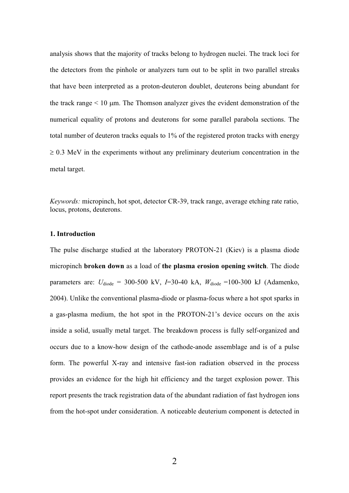analysis shows that the majority of tracks belong to hydrogen nuclei. The track loci for the detectors from the pinhole or analyzers turn out to be split in two parallel streaks that have been interpreted as a proton-deuteron doublet, deuterons being abundant for the track range < 10 µm. The Thomson analyzer gives the evident demonstration of the numerical equality of protons and deuterons for some parallel parabola sections. The total number of deuteron tracks equals to 1% of the registered proton tracks with energy  $\geq$  0.3 MeV in the experiments without any preliminary deuterium concentration in the metal target.

Keywords: micropinch, hot spot, detector CR-39, track range, average etching rate ratio, locus, protons, deuterons.

# 1. Introduction

The pulse discharge studied at the laboratory PROTON-21 (Kiev) is a plasma diode micropinch broken down as a load of the plasma erosion opening switch. The diode parameters are:  $U_{\rm diode} = 300{\text -}500 \text{ kV}$ ,  $I=30{\text -}40 \text{ kA}$ ,  $W_{\rm diode} = 100{\text -}300 \text{ kJ}$  (Adamenko, 2004). Unlike the conventional plasma-diode or plasma-focus where a hot spot sparks in a gas-plasma medium, the hot spot in the PROTON-21's device occurs on the axis inside a solid, usually metal target. The breakdown process is fully self-organized and occurs due to a know-how design of the cathode-anode assemblage and is of a pulse form. The powerful X-ray and intensive fast-ion radiation observed in the process provides an evidence for the high hit efficiency and the target explosion power. This report presents the track registration data of the abundant radiation of fast hydrogen ions from the hot-spot under consideration. A noticeable deuterium component is detected in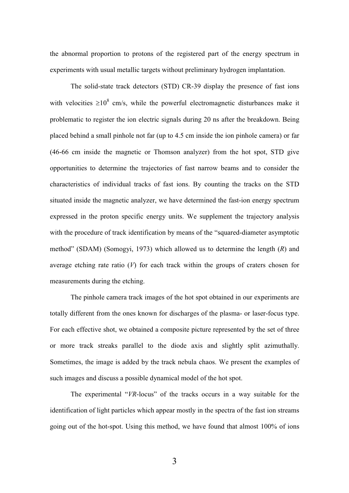the abnormal proportion to protons of the registered part of the energy spectrum in experiments with usual metallic targets without preliminary hydrogen implantation.

The solid-state track detectors (STD) CR-39 display the presence of fast ions with velocities  $\geq 10^8$  cm/s, while the powerful electromagnetic disturbances make it problematic to register the ion electric signals during 20 ns after the breakdown. Being placed behind a small pinhole not far (up to 4.5 cm inside the ion pinhole camera) or far (46-66 cm inside the magnetic or Thomson analyzer) from the hot spot, STD give opportunities to determine the trajectories of fast narrow beams and to consider the characteristics of individual tracks of fast ions. By counting the tracks on the STD situated inside the magnetic analyzer, we have determined the fast-ion energy spectrum expressed in the proton specific energy units. We supplement the trajectory analysis with the procedure of track identification by means of the "squared-diameter asymptotic method" (SDAM) (Somogyi, 1973) which allowed us to determine the length  $(R)$  and average etching rate ratio  $(V)$  for each track within the groups of craters chosen for measurements during the etching.

The pinhole camera track images of the hot spot obtained in our experiments are totally different from the ones known for discharges of the plasma- or laser-focus type. For each effective shot, we obtained a composite picture represented by the set of three or more track streaks parallel to the diode axis and slightly split azimuthally. Sometimes, the image is added by the track nebula chaos. We present the examples of such images and discuss a possible dynamical model of the hot spot.

The experimental "VR-locus" of the tracks occurs in a way suitable for the identification of light particles which appear mostly in the spectra of the fast ion streams going out of the hot-spot. Using this method, we have found that almost 100% of ions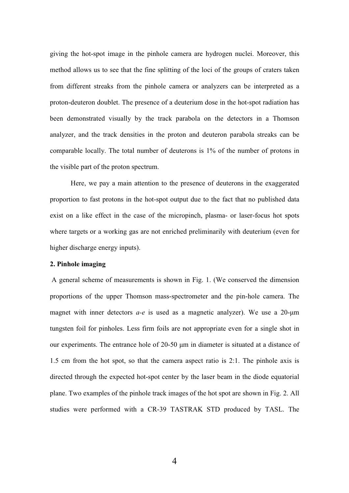giving the hot-spot image in the pinhole camera are hydrogen nuclei. Moreover, this method allows us to see that the fine splitting of the loci of the groups of craters taken from different streaks from the pinhole camera or analyzers can be interpreted as a proton-deuteron doublet. The presence of a deuterium dose in the hot-spot radiation has been demonstrated visually by the track parabola on the detectors in a Thomson analyzer, and the track densities in the proton and deuteron parabola streaks can be comparable locally. The total number of deuterons is 1% of the number of protons in the visible part of the proton spectrum.

Here, we pay a main attention to the presence of deuterons in the exaggerated proportion to fast protons in the hot-spot output due to the fact that no published data exist on a like effect in the case of the micropinch, plasma- or laser-focus hot spots where targets or a working gas are not enriched preliminarily with deuterium (even for higher discharge energy inputs).

#### 2. Pinhole imaging

 A general scheme of measurements is shown in Fig. 1. (We conserved the dimension proportions of the upper Thomson mass-spectrometer and the pin-hole camera. The magnet with inner detectors  $a-e$  is used as a magnetic analyzer). We use a 20-um tungsten foil for pinholes. Less firm foils are not appropriate even for a single shot in our experiments. The entrance hole of 20-50 µm in diameter is situated at a distance of 1.5 cm from the hot spot, so that the camera aspect ratio is 2:1. The pinhole axis is directed through the expected hot-spot center by the laser beam in the diode equatorial plane. Two examples of the pinhole track images of the hot spot are shown in Fig. 2. All studies were performed with a CR-39 TASTRAK STD produced by TASL. The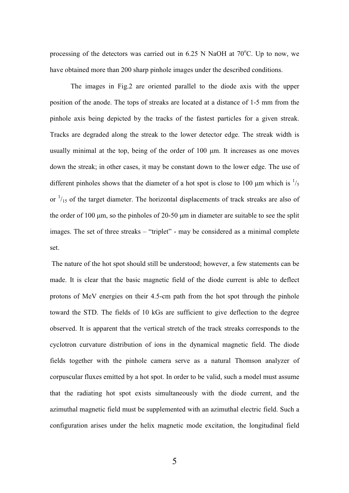processing of the detectors was carried out in  $6.25$  N NaOH at  $70^{\circ}$ C. Up to now, we have obtained more than 200 sharp pinhole images under the described conditions.

The images in Fig.2 are oriented parallel to the diode axis with the upper position of the anode. The tops of streaks are located at a distance of 1-5 mm from the pinhole axis being depicted by the tracks of the fastest particles for a given streak. Tracks are degraded along the streak to the lower detector edge. The streak width is usually minimal at the top, being of the order of  $100 \mu m$ . It increases as one moves down the streak; in other cases, it may be constant down to the lower edge. The use of different pinholes shows that the diameter of a hot spot is close to 100  $\mu$ m which is  $\frac{1}{5}$ or  $\frac{1}{15}$  of the target diameter. The horizontal displacements of track streaks are also of the order of 100  $\mu$ m, so the pinholes of 20-50  $\mu$ m in diameter are suitable to see the split images. The set of three streaks – "triplet" - may be considered as a minimal complete set.

 The nature of the hot spot should still be understood; however, a few statements can be made. It is clear that the basic magnetic field of the diode current is able to deflect protons of MeV energies on their 4.5-cm path from the hot spot through the pinhole toward the STD. The fields of 10 kGs are sufficient to give deflection to the degree observed. It is apparent that the vertical stretch of the track streaks corresponds to the cyclotron curvature distribution of ions in the dynamical magnetic field. The diode fields together with the pinhole camera serve as a natural Thomson analyzer of corpuscular fluxes emitted by a hot spot. In order to be valid, such a model must assume that the radiating hot spot exists simultaneously with the diode current, and the azimuthal magnetic field must be supplemented with an azimuthal electric field. Such a configuration arises under the helix magnetic mode excitation, the longitudinal field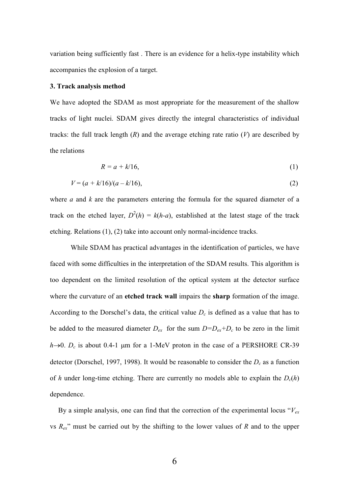variation being sufficiently fast . There is an evidence for a helix-type instability which accompanies the explosion of a target.

# 3. Track analysis method

We have adopted the SDAM as most appropriate for the measurement of the shallow tracks of light nuclei. SDAM gives directly the integral characteristics of individual tracks: the full track length  $(R)$  and the average etching rate ratio  $(V)$  are described by the relations

$$
R = a + k/16,\tag{1}
$$

$$
V = (a + k/16)/(a - k/16),\tag{2}
$$

where  $a$  and  $k$  are the parameters entering the formula for the squared diameter of a track on the etched layer,  $D^2(h) = k(h-a)$ , established at the latest stage of the track etching. Relations (1), (2) take into account only normal-incidence tracks.

 While SDAM has practical advantages in the identification of particles, we have faced with some difficulties in the interpretation of the SDAM results. This algorithm is too dependent on the limited resolution of the optical system at the detector surface where the curvature of an etched track wall impairs the sharp formation of the image. According to the Dorschel's data, the critical value  $D<sub>c</sub>$  is defined as a value that has to be added to the measured diameter  $D_{ex}$  for the sum  $D=D_{ex}+D_c$  to be zero in the limit  $h\rightarrow 0$ .  $D_c$  is about 0.4-1 µm for a 1-MeV proton in the case of a PERSHORE CR-39 detector (Dorschel, 1997, 1998). It would be reasonable to consider the  $D_c$  as a function of h under long-time etching. There are currently no models able to explain the  $D_c(h)$ dependence.

By a simple analysis, one can find that the correction of the experimental locus " $V_{ex}$ " vs  $R_{ex}$ " must be carried out by the shifting to the lower values of R and to the upper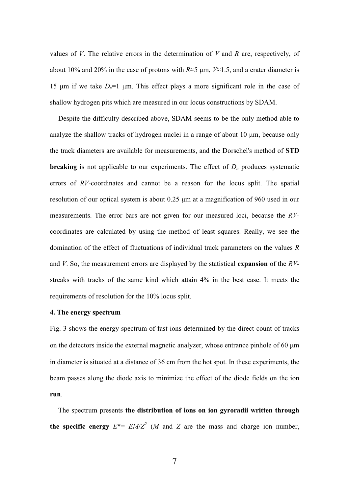values of  $V$ . The relative errors in the determination of  $V$  and  $R$  are, respectively, of about 10% and 20% in the case of protons with  $R \approx 5 \mu m$ ,  $V \approx 1.5$ , and a crater diameter is 15  $\mu$ m if we take  $D_c=1$   $\mu$ m. This effect plays a more significant role in the case of shallow hydrogen pits which are measured in our locus constructions by SDAM.

Despite the difficulty described above, SDAM seems to be the only method able to analyze the shallow tracks of hydrogen nuclei in a range of about 10  $\mu$ m, because only the track diameters are available for measurements, and the Dorschel's method of STD **breaking** is not applicable to our experiments. The effect of  $D<sub>c</sub>$  produces systematic errors of RV-coordinates and cannot be a reason for the locus split. The spatial resolution of our optical system is about 0.25 µm at a magnification of 960 used in our measurements. The error bars are not given for our measured loci, because the RVcoordinates are calculated by using the method of least squares. Really, we see the domination of the effect of fluctuations of individual track parameters on the values R and V. So, the measurement errors are displayed by the statistical expansion of the  $RV$ streaks with tracks of the same kind which attain 4% in the best case. It meets the requirements of resolution for the 10% locus split.

### 4. The energy spectrum

Fig. 3 shows the energy spectrum of fast ions determined by the direct count of tracks on the detectors inside the external magnetic analyzer, whose entrance pinhole of 60 µm in diameter is situated at a distance of 36 cm from the hot spot. In these experiments, the beam passes along the diode axis to minimize the effect of the diode fields on the ion run.

The spectrum presents the distribution of ions on ion gyroradii written through the specific energy  $E^* = EM/Z^2$  (*M* and *Z* are the mass and charge ion number,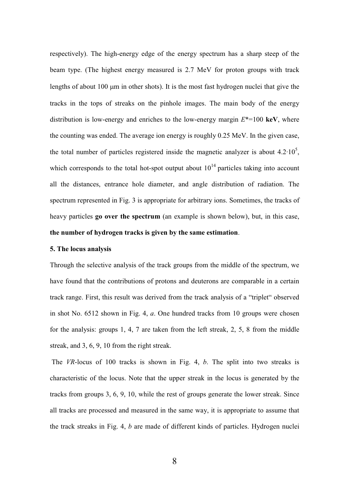respectively). The high-energy edge of the energy spectrum has a sharp steep of the beam type. (The highest energy measured is 2.7 MeV for proton groups with track lengths of about 100 µm in other shots). It is the most fast hydrogen nuclei that give the tracks in the tops of streaks on the pinhole images. The main body of the energy distribution is low-energy and enriches to the low-energy margin  $E^*=100$  keV, where the counting was ended. The average ion energy is roughly 0.25 MeV. In the given case, the total number of particles registered inside the magnetic analyzer is about  $4.2 \cdot 10^5$ , which corresponds to the total hot-spot output about  $10^{14}$  particles taking into account all the distances, entrance hole diameter, and angle distribution of radiation. The spectrum represented in Fig. 3 is appropriate for arbitrary ions. Sometimes, the tracks of heavy particles go over the spectrum (an example is shown below), but, in this case, the number of hydrogen tracks is given by the same estimation.

#### 5. The locus analysis

Through the selective analysis of the track groups from the middle of the spectrum, we have found that the contributions of protons and deuterons are comparable in a certain track range. First, this result was derived from the track analysis of a "triplet" observed in shot No. 6512 shown in Fig. 4, a. One hundred tracks from 10 groups were chosen for the analysis: groups 1, 4, 7 are taken from the left streak, 2, 5, 8 from the middle streak, and 3, 6, 9, 10 from the right streak.

 The VR-locus of 100 tracks is shown in Fig. 4, b. The split into two streaks is characteristic of the locus. Note that the upper streak in the locus is generated by the tracks from groups 3, 6, 9, 10, while the rest of groups generate the lower streak. Since all tracks are processed and measured in the same way, it is appropriate to assume that the track streaks in Fig. 4, b are made of different kinds of particles. Hydrogen nuclei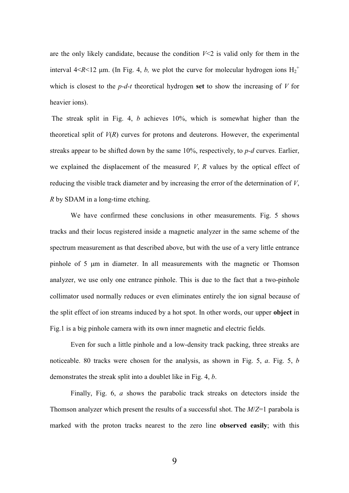are the only likely candidate, because the condition  $V<2$  is valid only for them in the interval  $4 < R < 12$  µm. (In Fig. 4, b, we plot the curve for molecular hydrogen ions  $H_2^+$ which is closest to the  $p-d-t$  theoretical hydrogen set to show the increasing of V for heavier ions).

 The streak split in Fig. 4, b achieves 10%, which is somewhat higher than the theoretical split of  $V(R)$  curves for protons and deuterons. However, the experimental streaks appear to be shifted down by the same  $10\%$ , respectively, to p-d curves. Earlier, we explained the displacement of the measured  $V$ ,  $R$  values by the optical effect of reducing the visible track diameter and by increasing the error of the determination of V, R by SDAM in a long-time etching.

We have confirmed these conclusions in other measurements. Fig. 5 shows tracks and their locus registered inside a magnetic analyzer in the same scheme of the spectrum measurement as that described above, but with the use of a very little entrance pinhole of 5 µm in diameter. In all measurements with the magnetic or Thomson analyzer, we use only one entrance pinhole. This is due to the fact that a two-pinhole collimator used normally reduces or even eliminates entirely the ion signal because of the split effect of ion streams induced by a hot spot. In other words, our upper object in Fig.1 is a big pinhole camera with its own inner magnetic and electric fields.

Even for such a little pinhole and a low-density track packing, three streaks are noticeable. 80 tracks were chosen for the analysis, as shown in Fig. 5, a. Fig. 5, b demonstrates the streak split into a doublet like in Fig. 4, b.

Finally, Fig. 6, a shows the parabolic track streaks on detectors inside the Thomson analyzer which present the results of a successful shot. The  $M/Z=1$  parabola is marked with the proton tracks nearest to the zero line observed easily; with this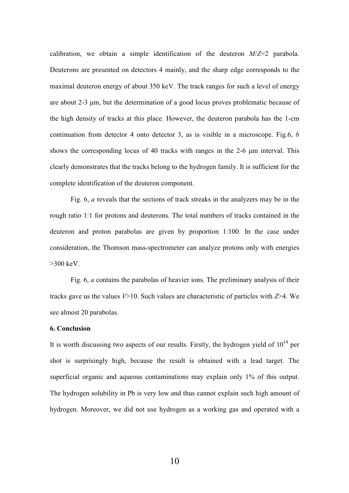calibration, we obtain a simple identification of the deuteron  $M/Z=2$  parabola. Deuterons are presented on detectors 4 mainly, and the sharp edge corresponds to the maximal deuteron energy of about 350 keV. The track ranges for such a level of energy are about 2-3 µm, but the determination of a good locus proves problematic because of the high density of tracks at this place. However, the deuteron parabola has the 1-cm continuation from detector 4 onto detector 3, as is visible in a microscope. Fig.6,  $b$ shows the corresponding locus of 40 tracks with ranges in the 2-6  $\mu$ m interval. This clearly demonstrates that the tracks belong to the hydrogen family. It is sufficient for the complete identification of the deuteron component.

 Fig. 6, a reveals that the sections of track streaks in the analyzers may be in the rough ratio 1:1 for protons and deuterons. The total numbers of tracks contained in the deuteron and proton parabolas are given by proportion 1:100. In the case under consideration, the Thomson mass-spectrometer can analyze protons only with energies  $>300$  keV.

Fig. 6, a contains the parabolas of heavier ions. The preliminary analysis of their tracks gave us the values  $V>10$ . Such values are characteristic of particles with  $Z>4$ . We see almost 20 parabolas.

# 6. Conclusion

It is worth discussing two aspects of our results. Firstly, the hydrogen yield of  $10^{14}$  per shot is surprisingly high, because the result is obtained with a lead target. The superficial organic and aqueous contaminations may explain only 1% of this output. The hydrogen solubility in Pb is very low and thus cannot explain such high amount of hydrogen. Moreover, we did not use hydrogen as a working gas and operated with a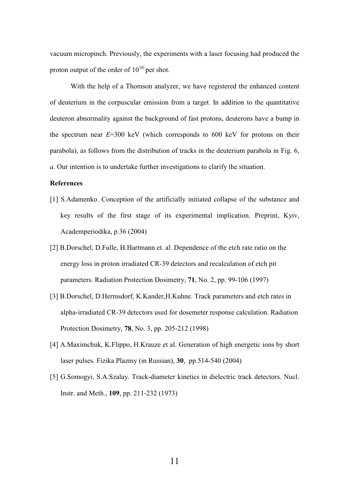vacuum micropinch. Previously, the experiments with a laser focusing had produced the proton output of the order of  $10^{10}$  per shot.

With the help of a Thomson analyzer, we have registered the enhanced content of deuterium in the corpuscular emission from a target. In addition to the quantitative deuteron abnormality against the background of fast protons, deuterons have a bump in the spectrum near  $E=300$  keV (which corresponds to 600 keV for protons on their parabola), as follows from the distribution of tracks in the deuterium parabola in Fig. 6, a. Our intention is to undertake further investigations to clarify the situation.

# References

- [1] S.Adamenko. Conception of the artificially initiated collapse of the substance and key results of the first stage of its experimental implication. Preprint, Kyiv, Academperiodika, p.36 (2004)
- [2] B.Dorschel, D.Fulle, H.Hartmann et. al. Dependence of the etch rate ratio on the energy loss in proton irradiated CR-39 detectors and recalculation of etch pit parameters. Radiation Protection Dosimetry, 71, No. 2, pp. 99-106 (1997)
- [3] B.Dorschel, D.Hermsdorf, K.Kander,H.Kuhne. Track parameters and etch rates in alpha-irradiated CR-39 detectors used for dosemeter response calculation. Radiation Protection Dosimetry, 78, No. 3, pp. 205-212 (1998)
- [4] A.Maximchuk, K.Flippo, H.Krauze et al. Generation of high energetic ions by short laser pulses. Fizika Plazmy (in Russian), 30, pp.514-540 (2004)
- [5] G.Somogyi, S.A.Szalay. Track-diameter kinetics in dielectric track detectors. Nucl. Instr. and Meth., **109**, pp. 211-232 (1973)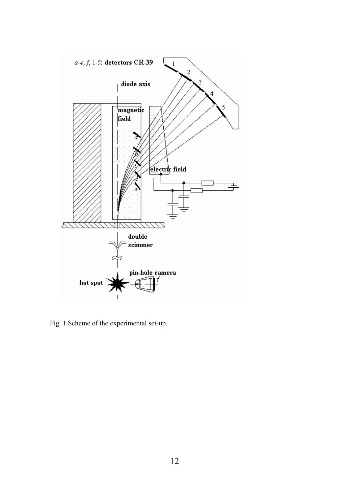

Fig. 1 Scheme of the experimental set-up.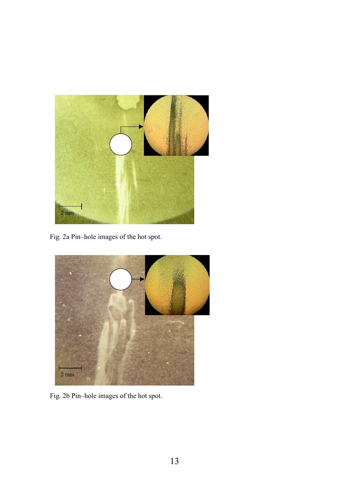

Fig. 2a Pin–hole images of the hot spot.



Fig. 2b Pin–hole images of the hot spot.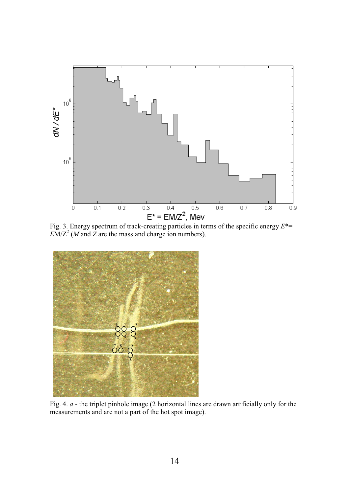

Fig. 3. Energy spectrum of track-creating particles in terms of the specific energy  $E^*$  $EM/Z<sup>2</sup>$  (*M* and *Z* are the mass and charge ion numbers).



Fig. 4. a - the triplet pinhole image (2 horizontal lines are drawn artificially only for the measurements and are not a part of the hot spot image).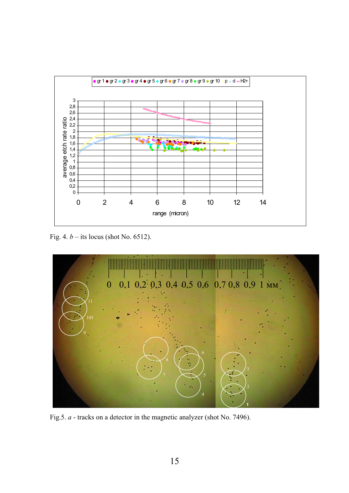

Fig. 4.  $b$  – its locus (shot No. 6512).



Fig.5. *a* - tracks on a detector in the magnetic analyzer (shot No. 7496).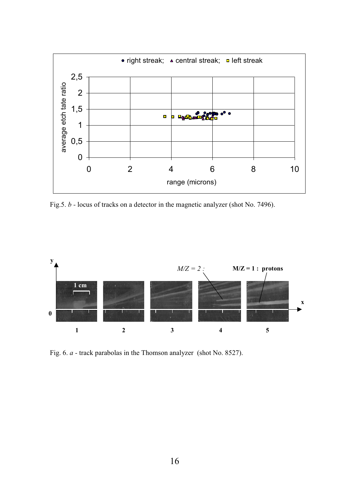

Fig.5. b - locus of tracks on a detector in the magnetic analyzer (shot No. 7496).



Fig. 6. a - track parabolas in the Thomson analyzer (shot No. 8527).